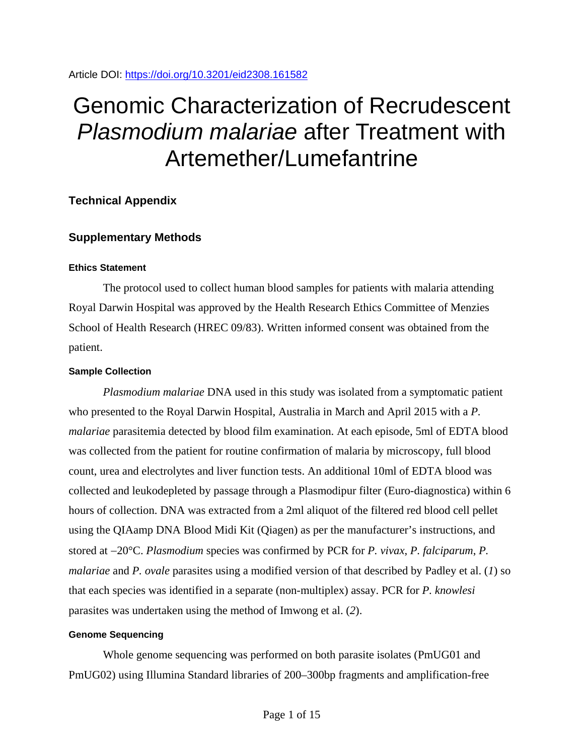# Genomic Characterization of Recrudescent *Plasmodium malariae* after Treatment with Artemether/Lumefantrine

# **Technical Appendix**

## **Supplementary Methods**

## **Ethics Statement**

The protocol used to collect human blood samples for patients with malaria attending Royal Darwin Hospital was approved by the Health Research Ethics Committee of Menzies School of Health Research (HREC 09/83). Written informed consent was obtained from the patient.

## **Sample Collection**

*Plasmodium malariae* DNA used in this study was isolated from a symptomatic patient who presented to the Royal Darwin Hospital, Australia in March and April 2015 with a *P. malariae* parasitemia detected by blood film examination. At each episode, 5ml of EDTA blood was collected from the patient for routine confirmation of malaria by microscopy, full blood count, urea and electrolytes and liver function tests. An additional 10ml of EDTA blood was collected and leukodepleted by passage through a Plasmodipur filter (Euro-diagnostica) within 6 hours of collection. DNA was extracted from a 2ml aliquot of the filtered red blood cell pellet using the QIAamp DNA Blood Midi Kit (Qiagen) as per the manufacturer's instructions, and stored at −20°C. *Plasmodium* species was confirmed by PCR for *P. vivax*, *P. falciparum*, *P. malariae* and *P. ovale* parasites using a modified version of that described by Padley et al. (*1*) so that each species was identified in a separate (non-multiplex) assay. PCR for *P. knowlesi* parasites was undertaken using the method of Imwong et al. (*2*).

## **Genome Sequencing**

Whole genome sequencing was performed on both parasite isolates (PmUG01 and PmUG02) using Illumina Standard libraries of 200–300bp fragments and amplification-free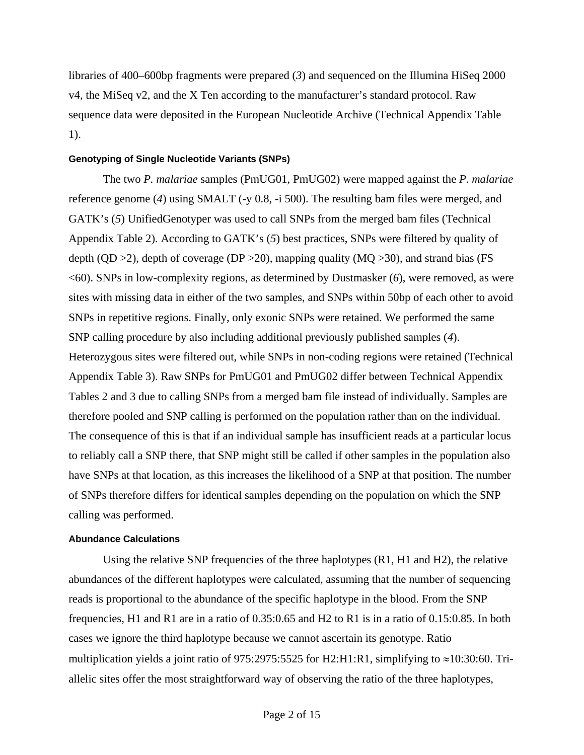libraries of 400–600bp fragments were prepared (*3*) and sequenced on the Illumina HiSeq 2000 v4, the MiSeq v2, and the X Ten according to the manufacturer's standard protocol. Raw sequence data were deposited in the European Nucleotide Archive (Technical Appendix Table 1).

### **Genotyping of Single Nucleotide Variants (SNPs)**

The two *P. malariae* samples (PmUG01, PmUG02) were mapped against the *P. malariae* reference genome (*4*) using SMALT (-y 0.8, -i 500). The resulting bam files were merged, and GATK's (*5*) UnifiedGenotyper was used to call SNPs from the merged bam files (Technical Appendix Table 2). According to GATK's (*5*) best practices, SNPs were filtered by quality of depth (QD  $>2$ ), depth of coverage (DP  $>20$ ), mapping quality (MQ  $>30$ ), and strand bias (FS <60). SNPs in low-complexity regions, as determined by Dustmasker (*6*), were removed, as were sites with missing data in either of the two samples, and SNPs within 50bp of each other to avoid SNPs in repetitive regions. Finally, only exonic SNPs were retained. We performed the same SNP calling procedure by also including additional previously published samples (*4*). Heterozygous sites were filtered out, while SNPs in non-coding regions were retained (Technical Appendix Table 3). Raw SNPs for PmUG01 and PmUG02 differ between Technical Appendix Tables 2 and 3 due to calling SNPs from a merged bam file instead of individually. Samples are therefore pooled and SNP calling is performed on the population rather than on the individual. The consequence of this is that if an individual sample has insufficient reads at a particular locus to reliably call a SNP there, that SNP might still be called if other samples in the population also have SNPs at that location, as this increases the likelihood of a SNP at that position. The number of SNPs therefore differs for identical samples depending on the population on which the SNP calling was performed.

### **Abundance Calculations**

Using the relative SNP frequencies of the three haplotypes (R1, H1 and H2), the relative abundances of the different haplotypes were calculated, assuming that the number of sequencing reads is proportional to the abundance of the specific haplotype in the blood. From the SNP frequencies, H1 and R1 are in a ratio of 0.35:0.65 and H2 to R1 is in a ratio of 0.15:0.85. In both cases we ignore the third haplotype because we cannot ascertain its genotype. Ratio multiplication yields a joint ratio of 975:2975:5525 for H2:H1:R1, simplifying to ≈10:30:60. Triallelic sites offer the most straightforward way of observing the ratio of the three haplotypes,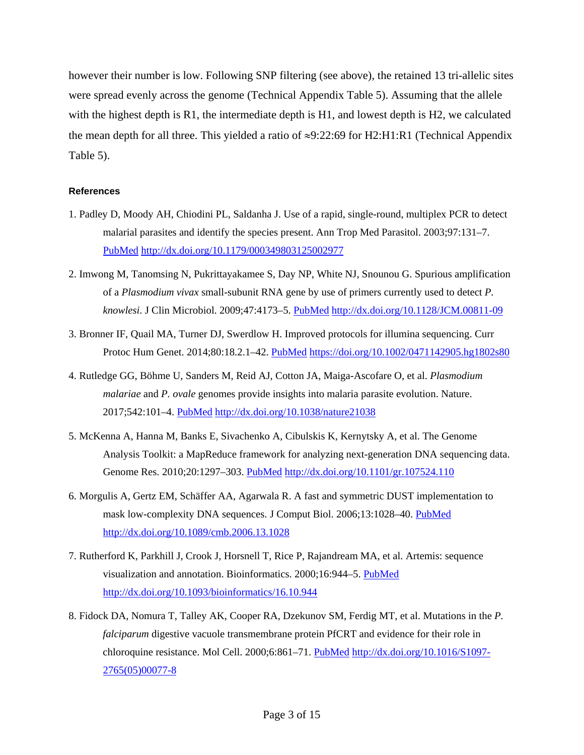however their number is low. Following SNP filtering (see above), the retained 13 tri-allelic sites were spread evenly across the genome (Technical Appendix Table 5). Assuming that the allele with the highest depth is R1, the intermediate depth is H1, and lowest depth is H2, we calculated the mean depth for all three. This yielded a ratio of  $\approx$ 9:22:69 for H2:H1:R1 (Technical Appendix Table 5).

## **References**

- 1. Padley D, Moody AH, Chiodini PL, Saldanha J. Use of a rapid, single-round, multiplex PCR to detect malarial parasites and identify the species present. Ann Trop Med Parasitol. 2003;97:131–7[.](https://www.ncbi.nlm.nih.gov/entrez/query.fcgi?cmd=Retrieve&db=PubMed&list_uids=12803868&dopt=Abstract) [PubMed](https://www.ncbi.nlm.nih.gov/entrez/query.fcgi?cmd=Retrieve&db=PubMed&list_uids=12803868&dopt=Abstract) <http://dx.doi.org/10.1179/000349803125002977>
- 2. Imwong M, Tanomsing N, Pukrittayakamee S, Day NP, White NJ, Snounou G. Spurious amplification of a *Plasmodium vivax* small-subunit RNA gene by use of primers currently used to detect *P. knowlesi*. J Clin Microbiol. 2009;47:4173–5. [PubMed](https://www.ncbi.nlm.nih.gov/entrez/query.fcgi?cmd=Retrieve&db=PubMed&list_uids=19812279&dopt=Abstract) <http://dx.doi.org/10.1128/JCM.00811-09>
- 3. Bronner IF, Quail MA, Turner DJ, Swerdlow H. Improved protocols for illumina sequencing. Curr Protoc Hum Genet. 2014;80:18.2.1–42. [PubMed](https://www.ncbi.nlm.nih.gov/pubmed/?term=26270174) <https://doi.org/10.1002/0471142905.hg1802s80>
- 4. Rutledge GG, Böhme U, Sanders M, Reid AJ, Cotton JA, Maiga-Ascofare O, et al. *Plasmodium malariae* and *P. ovale* genomes provide insights into malaria parasite evolution. Nature. 2017;542:101–4. [PubMed](https://www.ncbi.nlm.nih.gov/entrez/query.fcgi?cmd=Retrieve&db=PubMed&list_uids=28117441&dopt=Abstract) <http://dx.doi.org/10.1038/nature21038>
- 5. McKenna A, Hanna M, Banks E, Sivachenko A, Cibulskis K, Kernytsky A, et al. The Genome Analysis Toolkit: a MapReduce framework for analyzing next-generation DNA sequencing data. Genome Res. 2010;20:1297–303. [PubMed](https://www.ncbi.nlm.nih.gov/entrez/query.fcgi?cmd=Retrieve&db=PubMed&list_uids=20644199&dopt=Abstract) <http://dx.doi.org/10.1101/gr.107524.110>
- 6. Morgulis A, Gertz EM, Schäffer AA, Agarwala R. A fast and symmetric DUST implementation to mask low-complexity DNA sequences. J Comput Biol. 2006;13:1028-40. [PubMed](https://www.ncbi.nlm.nih.gov/entrez/query.fcgi?cmd=Retrieve&db=PubMed&list_uids=16796549&dopt=Abstract) <http://dx.doi.org/10.1089/cmb.2006.13.1028>
- 7. Rutherford K, Parkhill J, Crook J, Horsnell T, Rice P, Rajandream MA, et al. Artemis: sequence visualization and annotation. Bioinformatics. 2000;16:944–5. [PubMed](https://www.ncbi.nlm.nih.gov/entrez/query.fcgi?cmd=Retrieve&db=PubMed&list_uids=11120685&dopt=Abstract) <http://dx.doi.org/10.1093/bioinformatics/16.10.944>
- 8. Fidock DA, Nomura T, Talley AK, Cooper RA, Dzekunov SM, Ferdig MT, et al. Mutations in the *P. falciparum* digestive vacuole transmembrane protein PfCRT and evidence for their role in chloroquine resistance. Mol Cell. 2000;6:861–71. [PubMed](https://www.ncbi.nlm.nih.gov/entrez/query.fcgi?cmd=Retrieve&db=PubMed&list_uids=11090624&dopt=Abstract) [http://dx.doi.org/10.1016/S1097-](http://dx.doi.org/10.1016/S1097-2765(05)00077-8) [2765\(05\)00077-8](http://dx.doi.org/10.1016/S1097-2765(05)00077-8)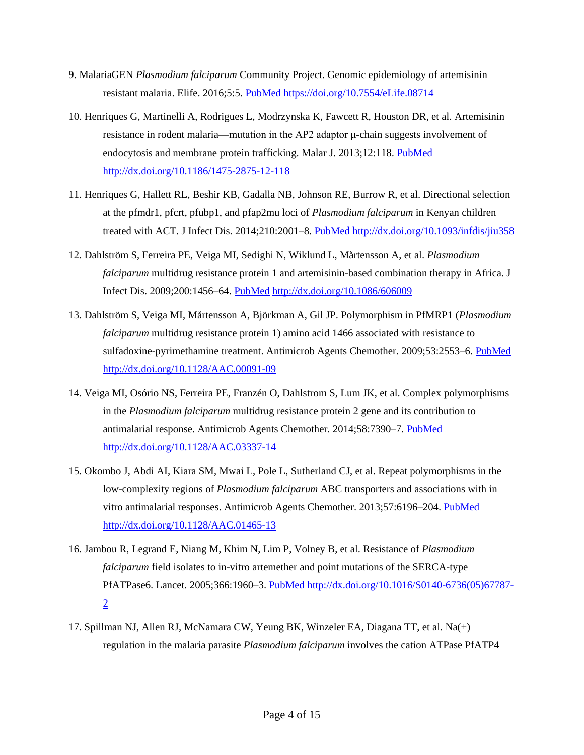- 9. MalariaGEN *Plasmodium falciparum* Community Project. Genomic epidemiology of artemisinin resistant malaria. Elife. 2016;5:5. [PubMed](https://www.ncbi.nlm.nih.gov/entrez/query.fcgi?cmd=Retrieve&db=PubMed&list_uids=26943619&dopt=Abstract) <https://doi.org/10.7554/eLife.08714>
- 10. Henriques G, Martinelli A, Rodrigues L, Modrzynska K, Fawcett R, Houston DR, et al. Artemisinin resistance in rodent malaria—mutation in the AP2 adaptor μ-chain suggests involvement of endocytosis and membrane protein trafficking. Malar J. 2013;12:118. [PubMed](https://www.ncbi.nlm.nih.gov/entrez/query.fcgi?cmd=Retrieve&db=PubMed&list_uids=23561245&dopt=Abstract) <http://dx.doi.org/10.1186/1475-2875-12-118>
- 11. Henriques G, Hallett RL, Beshir KB, Gadalla NB, Johnson RE, Burrow R, et al. Directional selection at the pfmdr1, pfcrt, pfubp1, and pfap2mu loci of *Plasmodium falciparum* in Kenyan children treated with ACT. J Infect Dis. 2014;210:2001–8. [PubMed](https://www.ncbi.nlm.nih.gov/entrez/query.fcgi?cmd=Retrieve&db=PubMed&list_uids=24994911&dopt=Abstract) <http://dx.doi.org/10.1093/infdis/jiu358>
- 12. Dahlström S, Ferreira PE, Veiga MI, Sedighi N, Wiklund L, Mårtensson A, et al. *Plasmodium falciparum* multidrug resistance protein 1 and artemisinin-based combination therapy in Africa. J Infect Dis. 2009;200:1456–64. [PubMed](https://www.ncbi.nlm.nih.gov/entrez/query.fcgi?cmd=Retrieve&db=PubMed&list_uids=19807279&dopt=Abstract) <http://dx.doi.org/10.1086/606009>
- 13. Dahlström S, Veiga MI, Mårtensson A, Björkman A, Gil JP. Polymorphism in PfMRP1 (*Plasmodium falciparum* multidrug resistance protein 1) amino acid 1466 associated with resistance to sulfadoxine-pyrimethamine treatment. Antimicrob Agents Chemother. 2009;53:2553-6. [PubMed](https://www.ncbi.nlm.nih.gov/entrez/query.fcgi?cmd=Retrieve&db=PubMed&list_uids=19364873&dopt=Abstract) <http://dx.doi.org/10.1128/AAC.00091-09>
- 14. Veiga MI, Osório NS, Ferreira PE, Franzén O, Dahlstrom S, Lum JK, et al. Complex polymorphisms in the *Plasmodium falciparum* multidrug resistance protein 2 gene and its contribution to antimalarial response. Antimicrob Agents Chemother. 2014;58:7390–7. [PubMed](https://www.ncbi.nlm.nih.gov/entrez/query.fcgi?cmd=Retrieve&db=PubMed&list_uids=25267670&dopt=Abstract) <http://dx.doi.org/10.1128/AAC.03337-14>
- 15. Okombo J, Abdi AI, Kiara SM, Mwai L, Pole L, Sutherland CJ, et al. Repeat polymorphisms in the low-complexity regions of *Plasmodium falciparum* ABC transporters and associations with in vitro antimalarial responses. Antimicrob Agents Chemother. 2013;57:6196–204. [PubMed](https://www.ncbi.nlm.nih.gov/entrez/query.fcgi?cmd=Retrieve&db=PubMed&list_uids=24080667&dopt=Abstract) <http://dx.doi.org/10.1128/AAC.01465-13>
- 16. Jambou R, Legrand E, Niang M, Khim N, Lim P, Volney B, et al. Resistance of *Plasmodium falciparum* field isolates to in-vitro artemether and point mutations of the SERCA-type PfATPase6. Lancet. 2005;366:1960–3. [PubMed](https://www.ncbi.nlm.nih.gov/entrez/query.fcgi?cmd=Retrieve&db=PubMed&list_uids=16325698&dopt=Abstract) [http://dx.doi.org/10.1016/S0140-6736\(05\)67787-](http://dx.doi.org/10.1016/S0140-6736(05)67787-2) [2](http://dx.doi.org/10.1016/S0140-6736(05)67787-2)
- 17. Spillman NJ, Allen RJ, McNamara CW, Yeung BK, Winzeler EA, Diagana TT, et al. Na(+) regulation in the malaria parasite *Plasmodium falciparum* involves the cation ATPase PfATP4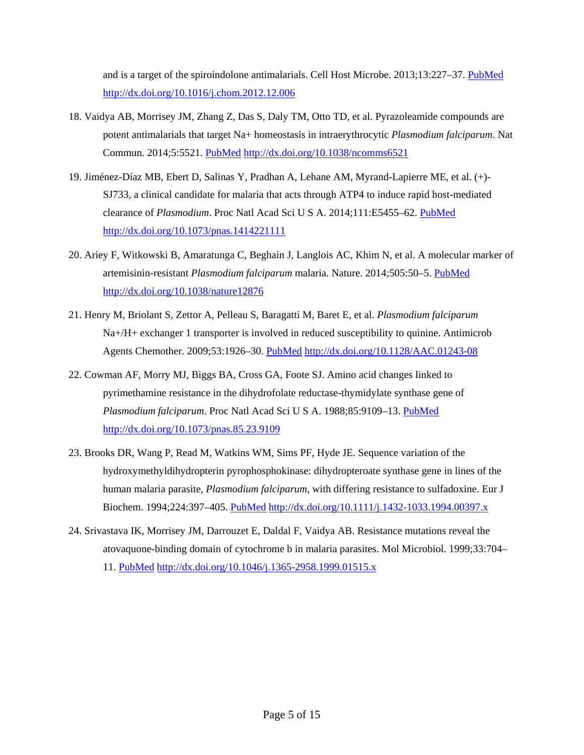and is a target of the spiroindolone antimalarials. Cell Host Microbe. 2013;13:227–37. [PubMed](https://www.ncbi.nlm.nih.gov/entrez/query.fcgi?cmd=Retrieve&db=PubMed&list_uids=23414762&dopt=Abstract) <http://dx.doi.org/10.1016/j.chom.2012.12.006>

- 18. Vaidya AB, Morrisey JM, Zhang Z, Das S, Daly TM, Otto TD, et al. Pyrazoleamide compounds are potent antimalarials that target Na+ homeostasis in intraerythrocytic *Plasmodium falciparum*. Nat Commun. 2014;5:5521. [PubMed](https://www.ncbi.nlm.nih.gov/entrez/query.fcgi?cmd=Retrieve&db=PubMed&list_uids=25422853&dopt=Abstract) <http://dx.doi.org/10.1038/ncomms6521>
- 19. Jiménez-Díaz MB, Ebert D, Salinas Y, Pradhan A, Lehane AM, Myrand-Lapierre ME, et al. (+)- SJ733, a clinical candidate for malaria that acts through ATP4 to induce rapid host-mediated clearance of *Plasmodium*. Proc Natl Acad Sci U S A. 2014;111:E5455–62. [PubMed](https://www.ncbi.nlm.nih.gov/entrez/query.fcgi?cmd=Retrieve&db=PubMed&list_uids=25453091&dopt=Abstract) <http://dx.doi.org/10.1073/pnas.1414221111>
- 20. Ariey F, Witkowski B, Amaratunga C, Beghain J, Langlois AC, Khim N, et al. A molecular marker of artemisinin-resistant *Plasmodium falciparum* malaria. Nature. 2014;505:50–5. [PubMed](https://www.ncbi.nlm.nih.gov/entrez/query.fcgi?cmd=Retrieve&db=PubMed&list_uids=24352242&dopt=Abstract) <http://dx.doi.org/10.1038/nature12876>
- 21. Henry M, Briolant S, Zettor A, Pelleau S, Baragatti M, Baret E, et al. *Plasmodium falciparum* Na+/H+ exchanger 1 transporter is involved in reduced susceptibility to quinine. Antimicrob Agents Chemother. 2009;53:1926–30. [PubMed](https://www.ncbi.nlm.nih.gov/entrez/query.fcgi?cmd=Retrieve&db=PubMed&list_uids=19273668&dopt=Abstract) <http://dx.doi.org/10.1128/AAC.01243-08>
- 22. Cowman AF, Morry MJ, Biggs BA, Cross GA, Foote SJ. Amino acid changes linked to pyrimethamine resistance in the dihydrofolate reductase-thymidylate synthase gene of *Plasmodium falciparum*. Proc Natl Acad Sci U S A. 1988;85:9109–13. [PubMed](https://www.ncbi.nlm.nih.gov/entrez/query.fcgi?cmd=Retrieve&db=PubMed&list_uids=3057499&dopt=Abstract) <http://dx.doi.org/10.1073/pnas.85.23.9109>
- 23. Brooks DR, Wang P, Read M, Watkins WM, Sims PF, Hyde JE. Sequence variation of the hydroxymethyldihydropterin pyrophosphokinase: dihydropteroate synthase gene in lines of the human malaria parasite, *Plasmodium falciparum*, with differing resistance to sulfadoxine. Eur J Biochem. 1994;224:397–405. [PubMed](https://www.ncbi.nlm.nih.gov/entrez/query.fcgi?cmd=Retrieve&db=PubMed&list_uids=7925353&dopt=Abstract) <http://dx.doi.org/10.1111/j.1432-1033.1994.00397.x>
- 24. Srivastava IK, Morrisey JM, Darrouzet E, Daldal F, Vaidya AB. Resistance mutations reveal the atovaquone-binding domain of cytochrome b in malaria parasites. Mol Microbiol. 1999;33:704– 11. [PubMed](https://www.ncbi.nlm.nih.gov/entrez/query.fcgi?cmd=Retrieve&db=PubMed&list_uids=10447880&dopt=Abstract) <http://dx.doi.org/10.1046/j.1365-2958.1999.01515.x>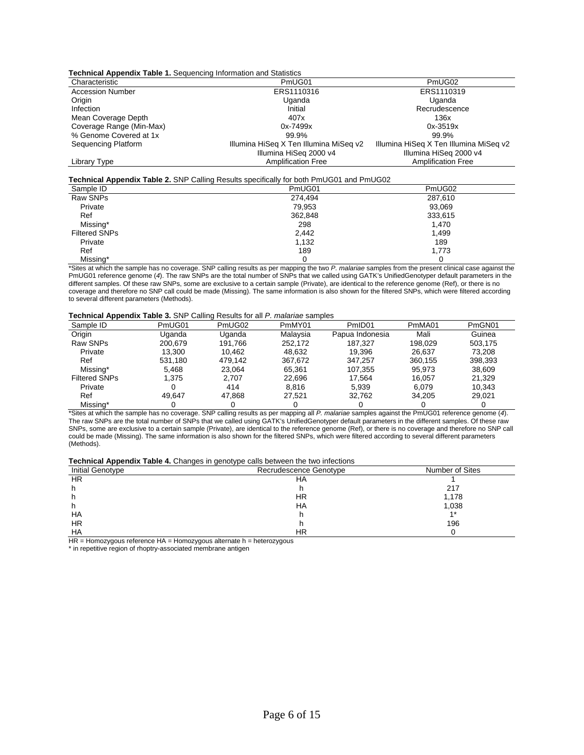| <b>Technical Appendix Table 1.</b> Sequencing Information and Statistics |                                        |                                        |  |  |  |
|--------------------------------------------------------------------------|----------------------------------------|----------------------------------------|--|--|--|
| Characteristic                                                           | PmUG01                                 | PmUG02                                 |  |  |  |
| <b>Accession Number</b>                                                  | ERS1110316                             | ERS1110319                             |  |  |  |
| Origin                                                                   | Uganda                                 | Uganda                                 |  |  |  |
| Infection                                                                | Initial                                | Recrudescence                          |  |  |  |
| Mean Coverage Depth                                                      | 407x                                   | 136x                                   |  |  |  |
| Coverage Range (Min-Max)                                                 | 0x-7499x                               | $0x - 3519x$                           |  |  |  |
| % Genome Covered at 1x                                                   | 99.9%                                  | 99.9%                                  |  |  |  |
| Sequencing Platform                                                      | Illumina HiSeg X Ten Illumina MiSeg v2 | Illumina HiSeq X Ten Illumina MiSeq v2 |  |  |  |
|                                                                          | Illumina HiSeg 2000 v4                 | Illumina HiSeg 2000 v4                 |  |  |  |
| Library Type                                                             | <b>Amplification Free</b>              | <b>Amplification Free</b>              |  |  |  |

#### **Technical Appendix Table 2.** SNP Calling Results specifically for both PmUG01 and PmUG02

| Sample ID            | $\frac{1}{2}$ . The contract that $\frac{1}{2}$ is the contract of the control of the contract the contract the contract of the contract of the contract of the contract of the contract of the contract of the contract of the contr<br>PmUG01 | PmUG02  |
|----------------------|-------------------------------------------------------------------------------------------------------------------------------------------------------------------------------------------------------------------------------------------------|---------|
| Raw SNPs             | 274.494                                                                                                                                                                                                                                         | 287,610 |
| Private              | 79,953                                                                                                                                                                                                                                          | 93.069  |
| Ref                  | 362.848                                                                                                                                                                                                                                         | 333,615 |
| Missing*             | 298                                                                                                                                                                                                                                             | 1.470   |
| <b>Filtered SNPs</b> | 2,442                                                                                                                                                                                                                                           | 1.499   |
| Private              | 1,132                                                                                                                                                                                                                                           | 189     |
| Ref                  | 189                                                                                                                                                                                                                                             | 1,773   |
| Missing*             |                                                                                                                                                                                                                                                 |         |

\*Sites at which the sample has no coverage. SNP calling results as per mapping the two *P. malariae* samples from the present clinical case against the PmUG01 reference genome (*4*). The raw SNPs are the total number of SNPs that we called using GATK's UnifiedGenotyper default parameters in the different samples. Of these raw SNPs, some are exclusive to a certain sample (Private), are identical to the reference genome (Ref), or there is no coverage and therefore no SNP call could be made (Missing). The same information is also shown for the filtered SNPs, which were filtered according to several different parameters (Methods).

#### **Technical Appendix Table 3.** SNP Calling Results for all *P. malariae* samples

| . .<br>Sample ID     | PmUG01  | PmUG02  | PmMY01   | PmID <sub>01</sub> | PmMA01  | PmGN01  |
|----------------------|---------|---------|----------|--------------------|---------|---------|
| Origin               | Uganda  | Uganda  | Malavsia | Papua Indonesia    | Mali    | Guinea  |
| Raw SNPs             | 200.679 | 191.766 | 252.172  | 187.327            | 198.029 | 503.175 |
| Private              | 13.300  | 10.462  | 48.632   | 19.396             | 26.637  | 73.208  |
| Ref                  | 531.180 | 479.142 | 367,672  | 347.257            | 360.155 | 398,393 |
| Missing*             | 5.468   | 23.064  | 65.361   | 107.355            | 95.973  | 38,609  |
| <b>Filtered SNPs</b> | 1.375   | 2.707   | 22.696   | 17.564             | 16.057  | 21.329  |
| Private              |         | 414     | 8.816    | 5,939              | 6,079   | 10.343  |
| Ref                  | 49.647  | 47.868  | 27.521   | 32.762             | 34.205  | 29.021  |
| Missing*             |         |         |          |                    |         |         |

\*Sites at which the sample has no coverage. SNP calling results as per mapping all *P. malariae* samples against the PmUG01 reference genome (*4*). The raw SNPs are the total number of SNPs that we called using GATK's UnifiedGenotyper default parameters in the different samples. Of these raw SNPs, some are exclusive to a certain sample (Private), are identical to the reference genome (Ref), or there is no coverage and therefore no SNP call could be made (Missing). The same information is also shown for the filtered SNPs, which were filtered according to several different parameters (Methods).

#### **Technical Appendix Table 4.** Changes in genotype calls between the two infections

| <b>Initial Genotype</b> | Recrudescence Genotype | Number of Sites |  |
|-------------------------|------------------------|-----------------|--|
| HR                      | ΗA                     |                 |  |
|                         |                        | 217             |  |
|                         | HR                     | 1,178           |  |
|                         | HA                     | 1,038           |  |
| HA                      |                        | $4*$            |  |
| <b>HR</b>               |                        | 196             |  |
| HA                      | ΗR                     |                 |  |

HR = Homozygous reference HA = Homozygous alternate h = heterozygous

\* in repetitive region of rhoptry-associated membrane antigen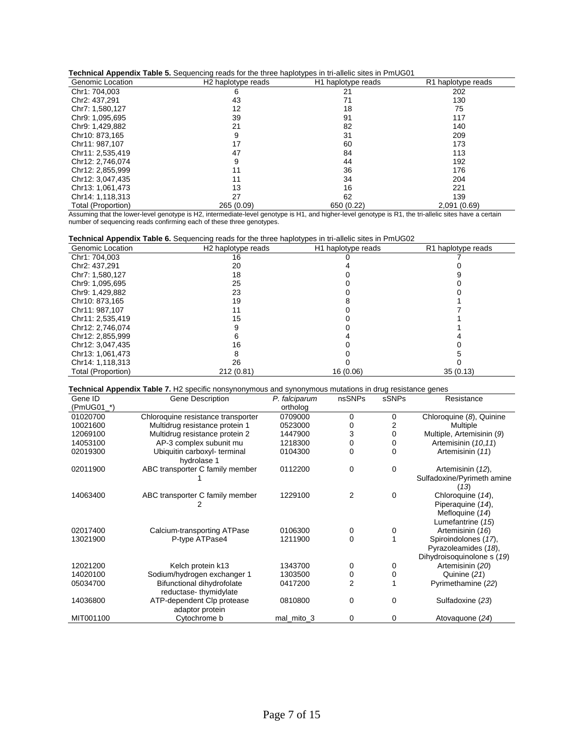| Technical Appendix Table 5. Sequencing reads for the three haplotypes in tri-allelic sites in PmUG01 |  |  |  |
|------------------------------------------------------------------------------------------------------|--|--|--|
|------------------------------------------------------------------------------------------------------|--|--|--|

| <b>recrimed Appendix Table 5.</b> Sequencing reads for the timee haplotypes in th-allelic sites in Princed F |                                |                                |                                |  |  |  |
|--------------------------------------------------------------------------------------------------------------|--------------------------------|--------------------------------|--------------------------------|--|--|--|
| Genomic Location                                                                                             | H <sub>2</sub> haplotype reads | H <sub>1</sub> haplotype reads | R <sub>1</sub> haplotype reads |  |  |  |
| Chr1: 704,003                                                                                                | 6                              | 21                             | 202                            |  |  |  |
| Chr2: 437.291                                                                                                | 43                             | 71                             | 130                            |  |  |  |
| Chr7: 1,580,127                                                                                              | 12                             | 18                             | 75                             |  |  |  |
| Chr9: 1,095,695                                                                                              | 39                             | 91                             | 117                            |  |  |  |
| Chr9: 1.429.882                                                                                              | 21                             | 82                             | 140                            |  |  |  |
| Chr10: 873.165                                                                                               | 9                              | 31                             | 209                            |  |  |  |
| Chr11: 987.107                                                                                               | 17                             | 60                             | 173                            |  |  |  |
| Chr11: 2,535,419                                                                                             | 47                             | 84                             | 113                            |  |  |  |
| Chr12: 2.746.074                                                                                             | 9                              | 44                             | 192                            |  |  |  |
| Chr12: 2,855,999                                                                                             | 11                             | 36                             | 176                            |  |  |  |
| Chr12: 3,047,435                                                                                             | 11                             | 34                             | 204                            |  |  |  |
| Chr13: 1,061,473                                                                                             | 13                             | 16                             | 221                            |  |  |  |
| Chr14: 1.118.313                                                                                             | 27                             | 62                             | 139                            |  |  |  |
| Total (Proportion)                                                                                           | 265 (0.09)                     | 650 (0.22)                     | 2,091 (0.69)                   |  |  |  |

Assuming that the lower-level genotype is H2, intermediate-level genotype is H1, and higher-level genotype is R1, the tri-allelic sites have a certain number of sequencing reads confirming each of these three genotypes.

| <b>Technical Appendix Table 6.</b> Sequencing reads for the three haplotypes in tri-allelic sites in PmUG02 |  |  |  |  |
|-------------------------------------------------------------------------------------------------------------|--|--|--|--|
|-------------------------------------------------------------------------------------------------------------|--|--|--|--|

| Genomic Location   | H <sub>2</sub> haplotype reads | H <sub>1</sub> haplotype reads | R1 haplotype reads |
|--------------------|--------------------------------|--------------------------------|--------------------|
| Chr1: 704,003      | 16                             |                                |                    |
| Chr2: 437,291      | 20                             |                                |                    |
| Chr7: 1,580,127    | 18                             |                                |                    |
| Chr9: 1,095,695    | 25                             |                                |                    |
| Chr9: 1,429,882    | 23                             |                                |                    |
| Chr10: 873.165     | 19                             |                                |                    |
| Chr11: 987.107     | 11                             |                                |                    |
| Chr11: 2,535,419   | 15                             |                                |                    |
| Chr12: 2.746.074   |                                |                                |                    |
| Chr12: 2,855,999   |                                |                                |                    |
| Chr12: 3,047,435   | 16                             |                                |                    |
| Chr13: 1,061,473   |                                |                                |                    |
| Chr14: 1,118,313   | 26                             |                                |                    |
| Total (Proportion) | 212 (0.81)                     | 16 (0.06)                      | 35(0.13)           |

**Technical Appendix Table 7.** H2 specific nonsynonymous and synonymous mutations in drug resistance genes

| Gene ID    | Gene Description                                    | P. falciparum | nsSNPs   | sSNPs | Resistance                                                                     |
|------------|-----------------------------------------------------|---------------|----------|-------|--------------------------------------------------------------------------------|
| (PmUG01 *) |                                                     | ortholog      |          |       |                                                                                |
| 01020700   | Chloroquine resistance transporter                  | 0709000       | 0        | 0     | Chloroquine (8), Quinine                                                       |
| 10021600   | Multidrug resistance protein 1                      | 0523000       |          | 2     | Multiple                                                                       |
| 12069100   | Multidrug resistance protein 2                      | 1447900       | 3        | 0     | Multiple, Artemisinin (9)                                                      |
| 14053100   | AP-3 complex subunit mu                             | 1218300       | 0        | 0     | Artemisinin (10,11)                                                            |
| 02019300   | Ubiquitin carboxyl- terminal<br>hydrolase 1         | 0104300       | 0        | 0     | Artemisinin (11)                                                               |
| 02011900   | ABC transporter C family member                     | 0112200       | 0        | 0     | Artemisinin (12),<br>Sulfadoxine/Pyrimeth amine<br>(13)                        |
| 14063400   | ABC transporter C family member                     | 1229100       | 2        | 0     | Chloroquine (14),<br>Piperaquine (14),<br>Mefloquine (14)<br>Lumefantrine (15) |
| 02017400   | Calcium-transporting ATPase                         | 0106300       | 0        | 0     | Artemisinin (16)                                                               |
| 13021900   | P-type ATPase4                                      | 1211900       | $\Omega$ |       | Spiroindolones (17),<br>Pyrazoleamides (18),<br>Dihydroisoquinolone s (19)     |
| 12021200   | Kelch protein k13                                   | 1343700       | 0        | 0     | Artemisinin (20)                                                               |
| 14020100   | Sodium/hydrogen exchanger 1                         | 1303500       | 0        | 0     | Quinine (21)                                                                   |
| 05034700   | Bifunctional dihydrofolate<br>reductase-thymidylate | 0417200       | 2        |       | Pyrimethamine (22)                                                             |
| 14036800   | ATP-dependent Clp protease<br>adaptor protein       | 0810800       | $\Omega$ | 0     | Sulfadoxine (23)                                                               |
| MIT001100  | Cytochrome b                                        | mal_mito_3    | 0        | 0     | Atovaguone (24)                                                                |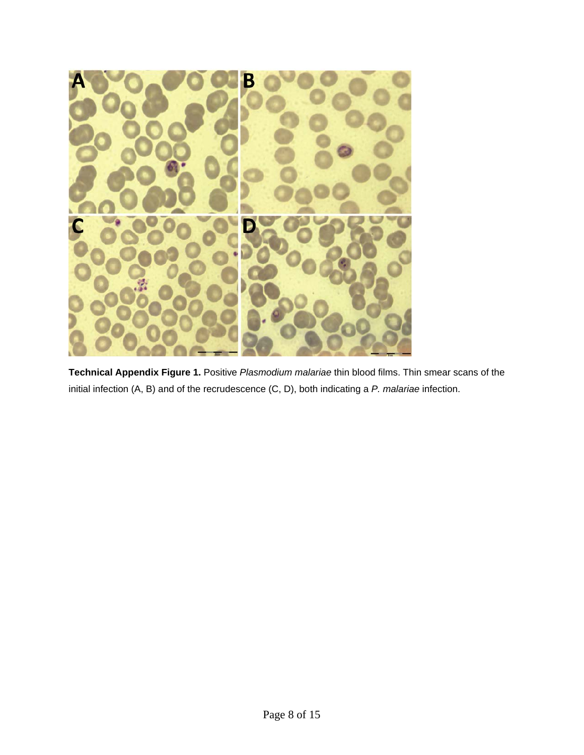

**Technical Appendix Figure 1.** Positive *Plasmodium malariae* thin blood films. Thin smear scans of the initial infection (A, B) and of the recrudescence (C, D), both indicating a *P. malariae* infection.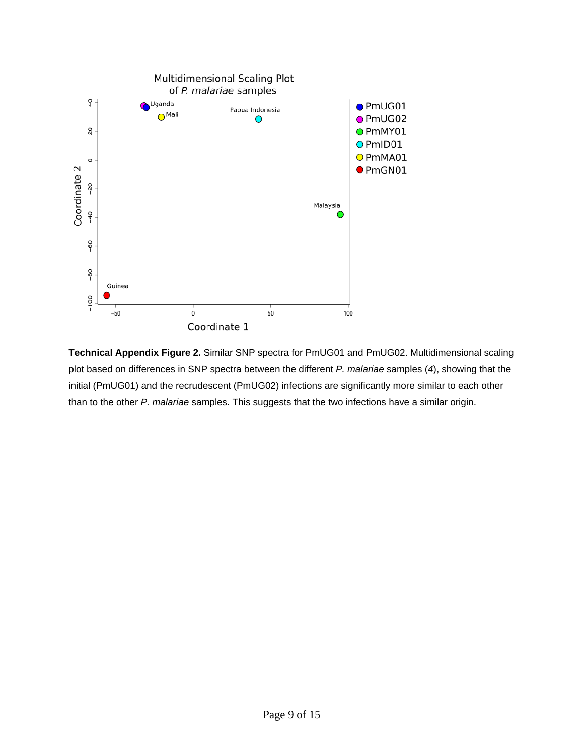

**Technical Appendix Figure 2.** Similar SNP spectra for PmUG01 and PmUG02. Multidimensional scaling plot based on differences in SNP spectra between the different *P. malariae* samples (*4*), showing that the initial (PmUG01) and the recrudescent (PmUG02) infections are significantly more similar to each other than to the other *P. malariae* samples. This suggests that the two infections have a similar origin.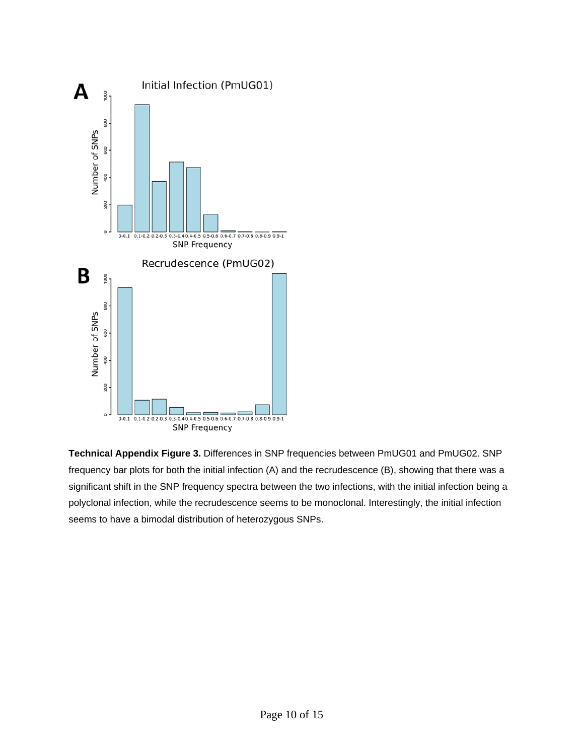

**Technical Appendix Figure 3.** Differences in SNP frequencies between PmUG01 and PmUG02. SNP frequency bar plots for both the initial infection (A) and the recrudescence (B), showing that there was a significant shift in the SNP frequency spectra between the two infections, with the initial infection being a polyclonal infection, while the recrudescence seems to be monoclonal. Interestingly, the initial infection seems to have a bimodal distribution of heterozygous SNPs.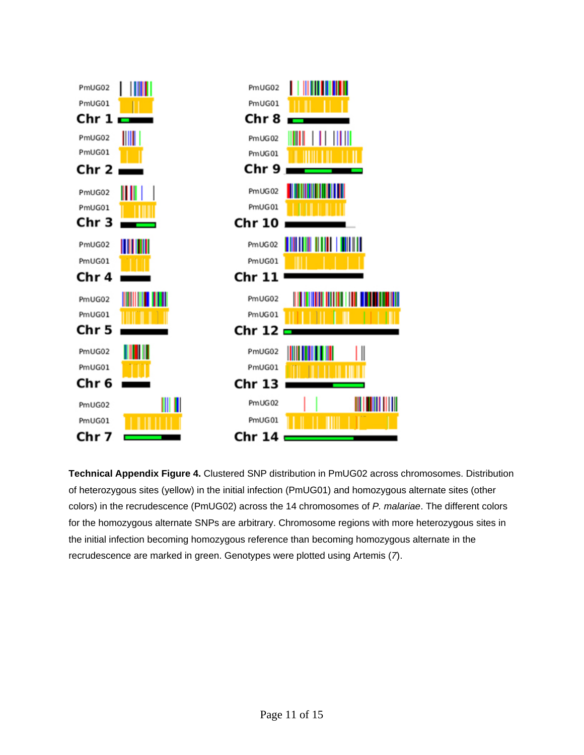

**Technical Appendix Figure 4.** Clustered SNP distribution in PmUG02 across chromosomes. Distribution of heterozygous sites (yellow) in the initial infection (PmUG01) and homozygous alternate sites (other colors) in the recrudescence (PmUG02) across the 14 chromosomes of *P. malariae*. The different colors for the homozygous alternate SNPs are arbitrary. Chromosome regions with more heterozygous sites in the initial infection becoming homozygous reference than becoming homozygous alternate in the recrudescence are marked in green. Genotypes were plotted using Artemis (*7*).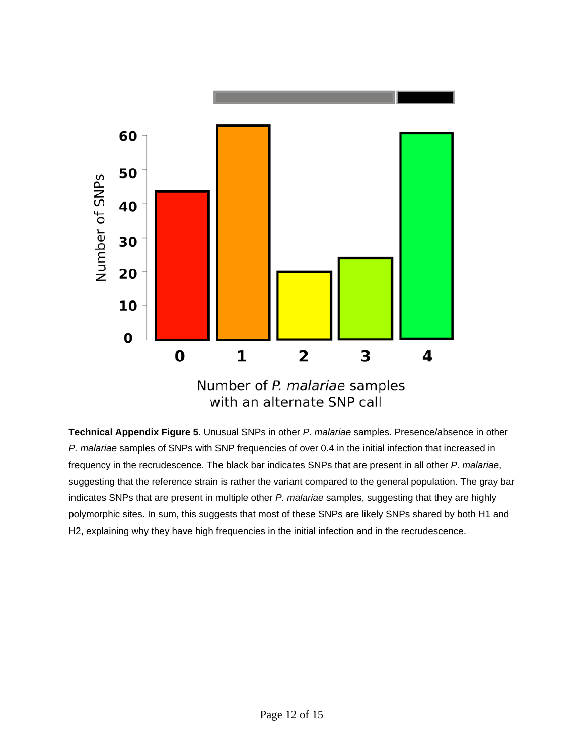

**Technical Appendix Figure 5.** Unusual SNPs in other *P. malariae* samples. Presence/absence in other *P. malariae* samples of SNPs with SNP frequencies of over 0.4 in the initial infection that increased in frequency in the recrudescence. The black bar indicates SNPs that are present in all other *P. malariae*, suggesting that the reference strain is rather the variant compared to the general population. The gray bar indicates SNPs that are present in multiple other *P. malariae* samples, suggesting that they are highly polymorphic sites. In sum, this suggests that most of these SNPs are likely SNPs shared by both H1 and H2, explaining why they have high frequencies in the initial infection and in the recrudescence.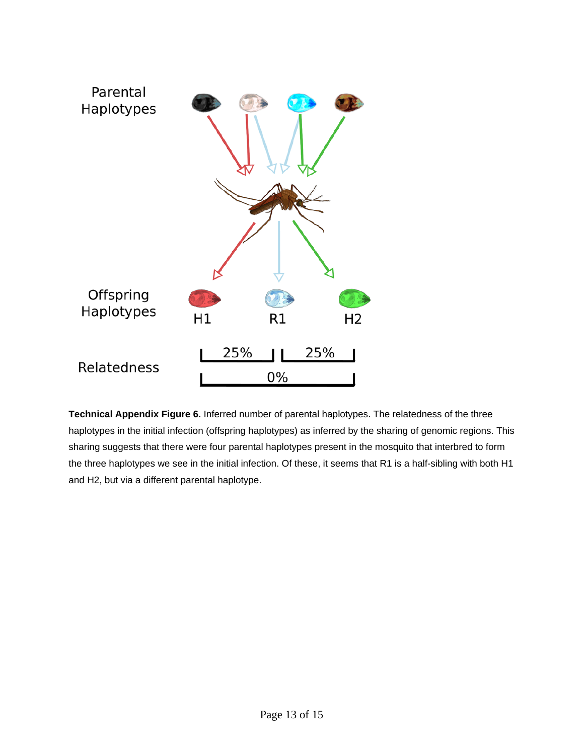

**Technical Appendix Figure 6.** Inferred number of parental haplotypes. The relatedness of the three haplotypes in the initial infection (offspring haplotypes) as inferred by the sharing of genomic regions. This sharing suggests that there were four parental haplotypes present in the mosquito that interbred to form the three haplotypes we see in the initial infection. Of these, it seems that R1 is a half-sibling with both H1 and H2, but via a different parental haplotype.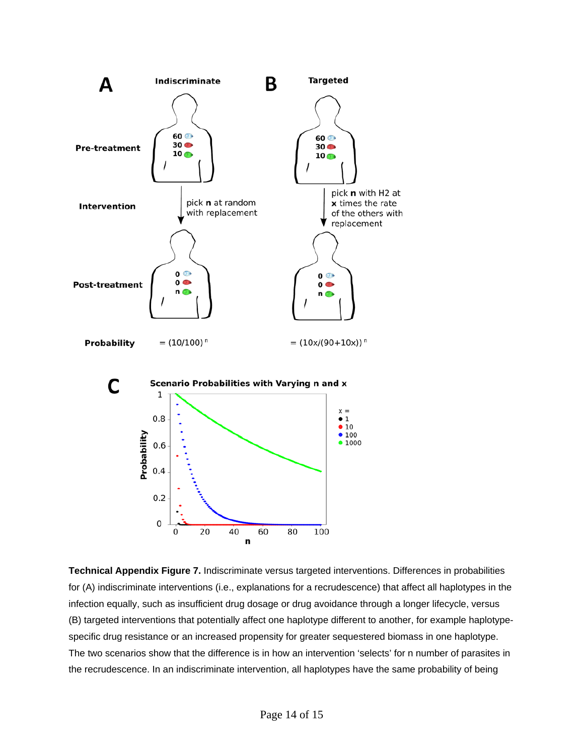

**Technical Appendix Figure 7.** Indiscriminate versus targeted interventions. Differences in probabilities for (A) indiscriminate interventions (i.e., explanations for a recrudescence) that affect all haplotypes in the infection equally, such as insufficient drug dosage or drug avoidance through a longer lifecycle, versus (B) targeted interventions that potentially affect one haplotype different to another, for example haplotypespecific drug resistance or an increased propensity for greater sequestered biomass in one haplotype. The two scenarios show that the difference is in how an intervention 'selects' for n number of parasites in the recrudescence. In an indiscriminate intervention, all haplotypes have the same probability of being